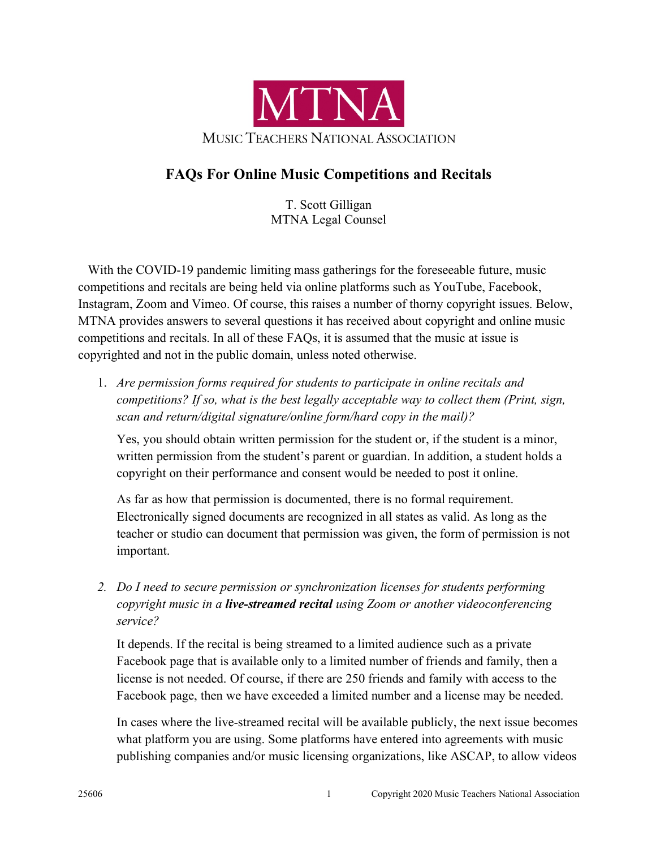

## **FAQs For Online Music Competitions and Recitals**

T. Scott Gilligan MTNA Legal Counsel

With the COVID-19 pandemic limiting mass gatherings for the foreseeable future, music competitions and recitals are being held via online platforms such as YouTube, Facebook, Instagram, Zoom and Vimeo. Of course, this raises a number of thorny copyright issues. Below, MTNA provides answers to several questions it has received about copyright and online music competitions and recitals. In all of these FAQs, it is assumed that the music at issue is copyrighted and not in the public domain, unless noted otherwise.

1. *Are permission forms required for students to participate in online recitals and competitions? If so, what is the best legally acceptable way to collect them (Print, sign, scan and return/digital signature/online form/hard copy in the mail)?* 

Yes, you should obtain written permission for the student or, if the student is a minor, written permission from the student's parent or guardian. In addition, a student holds a copyright on their performance and consent would be needed to post it online.

As far as how that permission is documented, there is no formal requirement. Electronically signed documents are recognized in all states as valid. As long as the teacher or studio can document that permission was given, the form of permission is not important.

*2. Do I need to secure permission or synchronization licenses for students performing copyright music in a live-streamed recital using Zoom or another videoconferencing service?* 

It depends. If the recital is being streamed to a limited audience such as a private Facebook page that is available only to a limited number of friends and family, then a license is not needed. Of course, if there are 250 friends and family with access to the Facebook page, then we have exceeded a limited number and a license may be needed.

In cases where the live-streamed recital will be available publicly, the next issue becomes what platform you are using. Some platforms have entered into agreements with music publishing companies and/or music licensing organizations, like ASCAP, to allow videos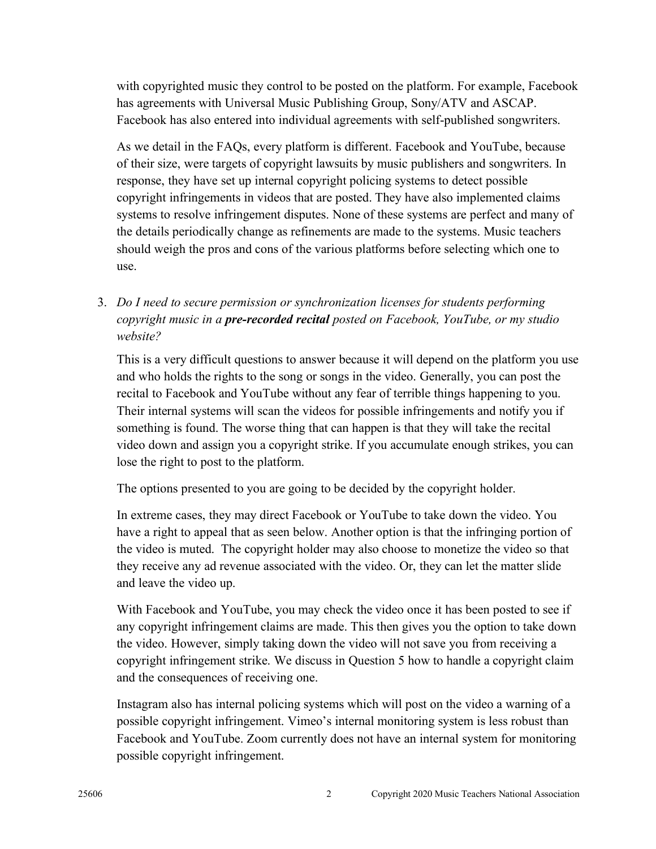with copyrighted music they control to be posted on the platform. For example, Facebook has agreements with Universal Music Publishing Group, Sony/ATV and ASCAP. Facebook has also entered into individual agreements with self-published songwriters.

As we detail in the FAQs, every platform is different. Facebook and YouTube, because of their size, were targets of copyright lawsuits by music publishers and songwriters. In response, they have set up internal copyright policing systems to detect possible copyright infringements in videos that are posted. They have also implemented claims systems to resolve infringement disputes. None of these systems are perfect and many of the details periodically change as refinements are made to the systems. Music teachers should weigh the pros and cons of the various platforms before selecting which one to use.

3. *Do I need to secure permission or synchronization licenses for students performing copyright music in a pre-recorded recital posted on Facebook, YouTube, or my studio website?*

This is a very difficult questions to answer because it will depend on the platform you use and who holds the rights to the song or songs in the video. Generally, you can post the recital to Facebook and YouTube without any fear of terrible things happening to you. Their internal systems will scan the videos for possible infringements and notify you if something is found. The worse thing that can happen is that they will take the recital video down and assign you a copyright strike. If you accumulate enough strikes, you can lose the right to post to the platform.

The options presented to you are going to be decided by the copyright holder.

In extreme cases, they may direct Facebook or YouTube to take down the video. You have a right to appeal that as seen below. Another option is that the infringing portion of the video is muted. The copyright holder may also choose to monetize the video so that they receive any ad revenue associated with the video. Or, they can let the matter slide and leave the video up.

With Facebook and YouTube, you may check the video once it has been posted to see if any copyright infringement claims are made. This then gives you the option to take down the video. However, simply taking down the video will not save you from receiving a copyright infringement strike. We discuss in Question 5 how to handle a copyright claim and the consequences of receiving one.

Instagram also has internal policing systems which will post on the video a warning of a possible copyright infringement. Vimeo's internal monitoring system is less robust than Facebook and YouTube. Zoom currently does not have an internal system for monitoring possible copyright infringement.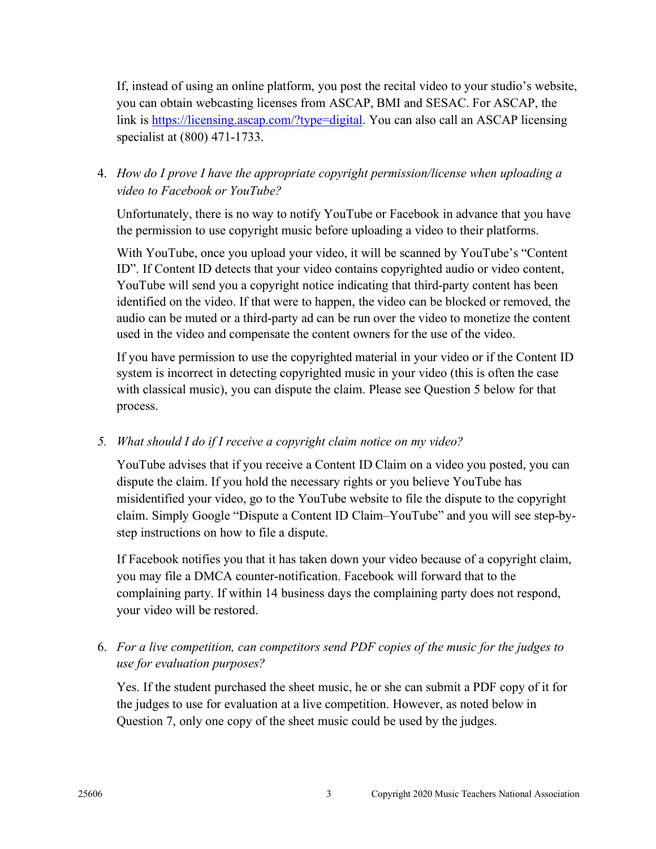If, instead of using an online platform, you post the recital video to your studio's website, you can obtain webcasting licenses from ASCAP, BMI and SESAC. For ASCAP, the link is https://licensing.ascap.com/?type=digital. You can also call an ASCAP licensing specialist at (800) 471-1733.

## 4. *How do I prove I have the appropriate copyright permission/license when uploading a video to Facebook or YouTube?*

Unfortunately, there is no way to notify YouTube or Facebook in advance that you have the permission to use copyright music before uploading a video to their platforms.

With YouTube, once you upload your video, it will be scanned by YouTube's "Content ID". If Content ID detects that your video contains copyrighted audio or video content, YouTube will send you a copyright notice indicating that third-party content has been identified on the video. If that were to happen, the video can be blocked or removed, the audio can be muted or a third-party ad can be run over the video to monetize the content used in the video and compensate the content owners for the use of the video.

If you have permission to use the copyrighted material in your video or if the Content ID system is incorrect in detecting copyrighted music in your video (this is often the case with classical music), you can dispute the claim. Please see Question 5 below for that process.

## *5. What should I do if I receive a copyright claim notice on my video?*

YouTube advises that if you receive a Content ID Claim on a video you posted, you can dispute the claim. If you hold the necessary rights or you believe YouTube has misidentified your video, go to the YouTube website to file the dispute to the copyright claim. Simply Google "Dispute a Content ID Claim–YouTube" and you will see step-bystep instructions on how to file a dispute.

If Facebook notifies you that it has taken down your video because of a copyright claim, you may file a DMCA counter-notification. Facebook will forward that to the complaining party. If within 14 business days the complaining party does not respond, your video will be restored.

## 6. *For a live competition, can competitors send PDF copies of the music for the judges to use for evaluation purposes?*

Yes. If the student purchased the sheet music, he or she can submit a PDF copy of it for the judges to use for evaluation at a live competition. However, as noted below in Question 7, only one copy of the sheet music could be used by the judges.